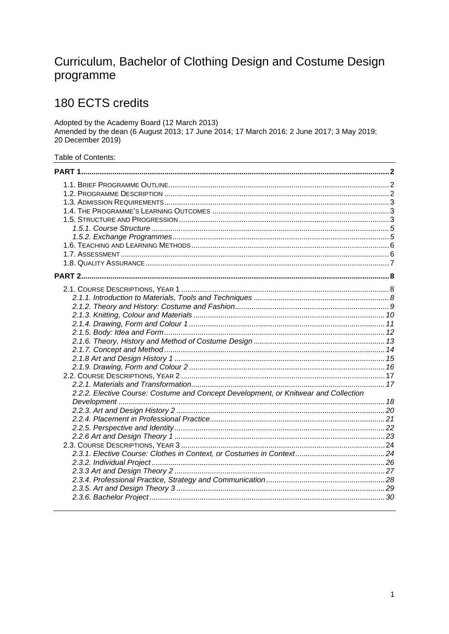# Curriculum, Bachelor of Clothing Design and Costume Design programme

# 180 ECTS credits

Adopted by the Academy Board (12 March 2013)<br>Amended by the dean (6 August 2013; 17 June 2014; 17 March 2016; 2 June 2017; 3 May 2019; 20 December 2019)

Table of Contents:

| 2.2.2. Elective Course: Costume and Concept Development, or Knitwear and Collection |  |
|-------------------------------------------------------------------------------------|--|
|                                                                                     |  |
|                                                                                     |  |
|                                                                                     |  |
|                                                                                     |  |
|                                                                                     |  |
|                                                                                     |  |
|                                                                                     |  |
|                                                                                     |  |
|                                                                                     |  |
|                                                                                     |  |
|                                                                                     |  |
|                                                                                     |  |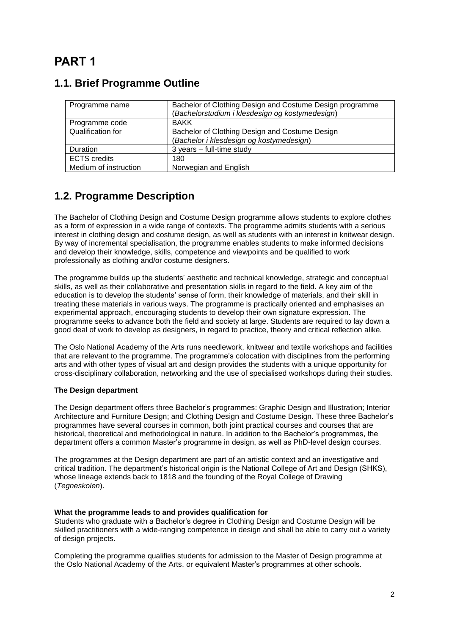# <span id="page-1-0"></span>**PART 1**

| Programme name        | Bachelor of Clothing Design and Costume Design programme<br>(Bachelorstudium i klesdesign og kostymedesign) |
|-----------------------|-------------------------------------------------------------------------------------------------------------|
| Programme code        | <b>BAKK</b>                                                                                                 |
| Qualification for     | Bachelor of Clothing Design and Costume Design<br>(Bachelor i klesdesign og kostymedesign)                  |
| Duration              | $3$ years $-$ full-time study                                                                               |
| <b>ECTS</b> credits   | 180                                                                                                         |
| Medium of instruction | Norwegian and English                                                                                       |

#### <span id="page-1-1"></span>**1.1. Brief Programme Outline**

#### <span id="page-1-2"></span>**1.2. Programme Description**

The Bachelor of Clothing Design and Costume Design programme allows students to explore clothes as a form of expression in a wide range of contexts. The programme admits students with a serious interest in clothing design and costume design, as well as students with an interest in knitwear design. By way of incremental specialisation, the programme enables students to make informed decisions and develop their knowledge, skills, competence and viewpoints and be qualified to work professionally as clothing and/or costume designers.

The programme builds up the students' aesthetic and technical knowledge, strategic and conceptual skills, as well as their collaborative and presentation skills in regard to the field. A key aim of the education is to develop the students' sense of form, their knowledge of materials, and their skill in treating these materials in various ways. The programme is practically oriented and emphasises an experimental approach, encouraging students to develop their own signature expression. The programme seeks to advance both the field and society at large. Students are required to lay down a good deal of work to develop as designers, in regard to practice, theory and critical reflection alike.

The Oslo National Academy of the Arts runs needlework, knitwear and textile workshops and facilities that are relevant to the programme. The programme's colocation with disciplines from the performing arts and with other types of visual art and design provides the students with a unique opportunity for cross-disciplinary collaboration, networking and the use of specialised workshops during their studies.

#### **The Design department**

The Design department offers three Bachelor's programmes: Graphic Design and Illustration; Interior Architecture and Furniture Design; and Clothing Design and Costume Design. These three Bachelor's programmes have several courses in common, both joint practical courses and courses that are historical, theoretical and methodological in nature. In addition to the Bachelor's programmes, the department offers a common Master's programme in design, as well as PhD-level design courses.

The programmes at the Design department are part of an artistic context and an investigative and critical tradition. The department's historical origin is the National College of Art and Design (SHKS), whose lineage extends back to 1818 and the founding of the Royal College of Drawing (*Tegneskolen*).

#### **What the programme leads to and provides qualification for**

Students who graduate with a Bachelor's degree in Clothing Design and Costume Design will be skilled practitioners with a wide-ranging competence in design and shall be able to carry out a variety of design projects.

Completing the programme qualifies students for admission to the Master of Design programme at the Oslo National Academy of the Arts, or equivalent Master's programmes at other schools.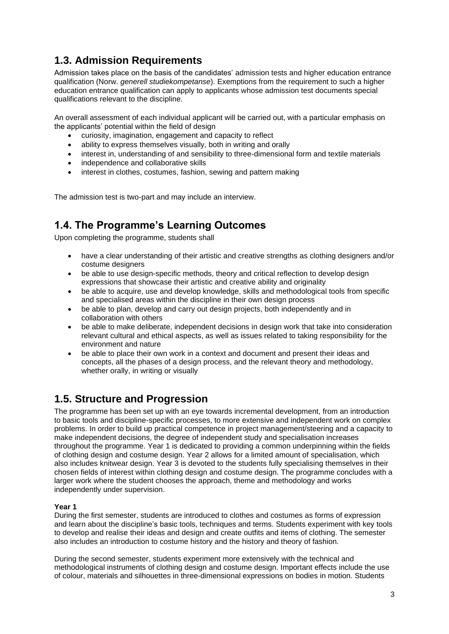### <span id="page-2-0"></span>**1.3. Admission Requirements**

Admission takes place on the basis of the candidates' admission tests and higher education entrance qualification (Norw. *generell studiekompetanse*). Exemptions from the requirement to such a higher education entrance qualification can apply to applicants whose admission test documents special qualifications relevant to the discipline.

An overall assessment of each individual applicant will be carried out, with a particular emphasis on the applicants' potential within the field of design

- curiosity, imagination, engagement and capacity to reflect
- ability to express themselves visually, both in writing and orally
- interest in, understanding of and sensibility to three-dimensional form and textile materials
- independence and collaborative skills
- interest in clothes, costumes, fashion, sewing and pattern making

The admission test is two-part and may include an interview.

### <span id="page-2-1"></span>**1.4. The Programme's Learning Outcomes**

Upon completing the programme, students shall

- have a clear understanding of their artistic and creative strengths as clothing designers and/or costume designers
- be able to use design-specific methods, theory and critical reflection to develop design expressions that showcase their artistic and creative ability and originality
- be able to acquire, use and develop knowledge, skills and methodological tools from specific and specialised areas within the discipline in their own design process
- be able to plan, develop and carry out design projects, both independently and in collaboration with others
- be able to make deliberate, independent decisions in design work that take into consideration relevant cultural and ethical aspects, as well as issues related to taking responsibility for the environment and nature
- be able to place their own work in a context and document and present their ideas and concepts, all the phases of a design process, and the relevant theory and methodology, whether orally, in writing or visually

#### <span id="page-2-2"></span>**1.5. Structure and Progression**

The programme has been set up with an eye towards incremental development, from an introduction to basic tools and discipline-specific processes, to more extensive and independent work on complex problems. In order to build up practical competence in project management/steering and a capacity to make independent decisions, the degree of independent study and specialisation increases throughout the programme. Year 1 is dedicated to providing a common underpinning within the fields of clothing design and costume design. Year 2 allows for a limited amount of specialisation, which also includes knitwear design. Year 3 is devoted to the students fully specialising themselves in their chosen fields of interest within clothing design and costume design. The programme concludes with a larger work where the student chooses the approach, theme and methodology and works independently under supervision.

#### **Year 1**

During the first semester, students are introduced to clothes and costumes as forms of expression and learn about the discipline's basic tools, techniques and terms. Students experiment with key tools to develop and realise their ideas and design and create outfits and items of clothing. The semester also includes an introduction to costume history and the history and theory of fashion.

During the second semester, students experiment more extensively with the technical and methodological instruments of clothing design and costume design. Important effects include the use of colour, materials and silhouettes in three-dimensional expressions on bodies in motion. Students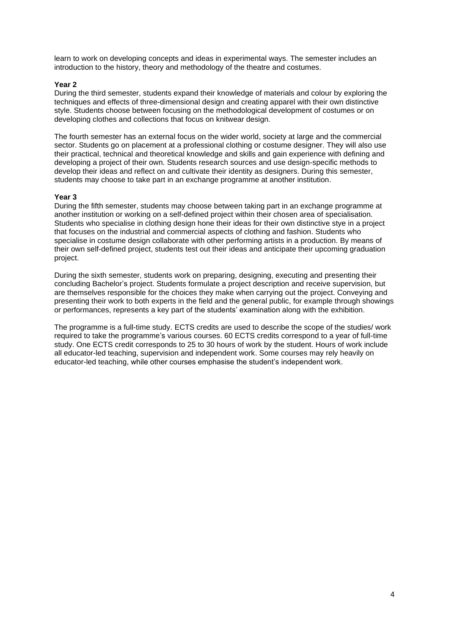learn to work on developing concepts and ideas in experimental ways. The semester includes an introduction to the history, theory and methodology of the theatre and costumes.

#### **Year 2**

During the third semester, students expand their knowledge of materials and colour by exploring the techniques and effects of three-dimensional design and creating apparel with their own distinctive style. Students choose between focusing on the methodological development of costumes or on developing clothes and collections that focus on knitwear design.

The fourth semester has an external focus on the wider world, society at large and the commercial sector. Students go on placement at a professional clothing or costume designer. They will also use their practical, technical and theoretical knowledge and skills and gain experience with defining and developing a project of their own. Students research sources and use design-specific methods to develop their ideas and reflect on and cultivate their identity as designers. During this semester, students may choose to take part in an exchange programme at another institution.

#### **Year 3**

During the fifth semester, students may choose between taking part in an exchange programme at another institution or working on a self-defined project within their chosen area of specialisation. Students who specialise in clothing design hone their ideas for their own distinctive stye in a project that focuses on the industrial and commercial aspects of clothing and fashion. Students who specialise in costume design collaborate with other performing artists in a production. By means of their own self-defined project, students test out their ideas and anticipate their upcoming graduation project.

During the sixth semester, students work on preparing, designing, executing and presenting their concluding Bachelor's project. Students formulate a project description and receive supervision, but are themselves responsible for the choices they make when carrying out the project. Conveying and presenting their work to both experts in the field and the general public, for example through showings or performances, represents a key part of the students' examination along with the exhibition.

The programme is a full-time study. ECTS credits are used to describe the scope of the studies/ work required to take the programme's various courses. 60 ECTS credits correspond to a year of full-time study. One ECTS credit corresponds to 25 to 30 hours of work by the student. Hours of work include all educator-led teaching, supervision and independent work. Some courses may rely heavily on educator-led teaching, while other courses emphasise the student's independent work.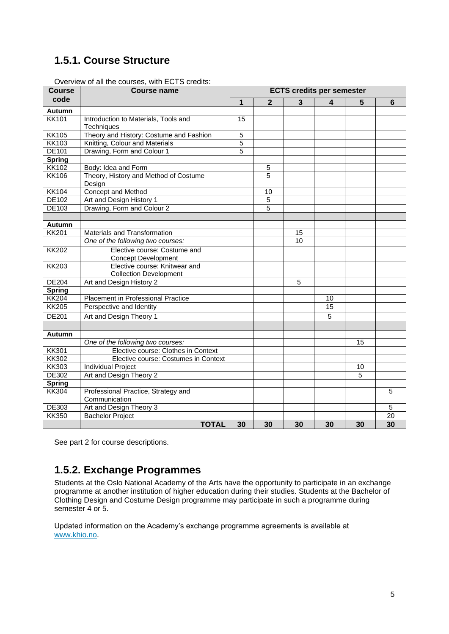## <span id="page-4-0"></span>**1.5.1. Course Structure**

| <b>Course</b> | <b>Course name</b>                                             | <b>ECTS credits per semester</b> |                |                |                 |    |                 |
|---------------|----------------------------------------------------------------|----------------------------------|----------------|----------------|-----------------|----|-----------------|
| code          |                                                                | 1                                | $\overline{2}$ | 3              | 4               | 5  | 6               |
| <b>Autumn</b> |                                                                |                                  |                |                |                 |    |                 |
| <b>KK101</b>  | Introduction to Materials, Tools and<br><b>Techniques</b>      | 15                               |                |                |                 |    |                 |
| <b>KK105</b>  | Theory and History: Costume and Fashion                        | $\overline{5}$                   |                |                |                 |    |                 |
| <b>KK103</b>  | Knitting, Colour and Materials                                 | $\overline{5}$                   |                |                |                 |    |                 |
| <b>DE101</b>  | Drawing, Form and Colour 1                                     | 5                                |                |                |                 |    |                 |
| <b>Spring</b> |                                                                |                                  |                |                |                 |    |                 |
| <b>KK102</b>  | Body: Idea and Form                                            |                                  | 5              |                |                 |    |                 |
| <b>KK106</b>  | Theory, History and Method of Costume<br>Design                |                                  | $\overline{5}$ |                |                 |    |                 |
| <b>KK104</b>  | Concept and Method                                             |                                  | 10             |                |                 |    |                 |
| DE102         | Art and Design History 1                                       |                                  | 5              |                |                 |    |                 |
| DE103         | Drawing, Form and Colour 2                                     |                                  | 5              |                |                 |    |                 |
|               |                                                                |                                  |                |                |                 |    |                 |
| <b>Autumn</b> |                                                                |                                  |                |                |                 |    |                 |
| <b>KK201</b>  | Materials and Transformation                                   |                                  |                | 15             |                 |    |                 |
|               | One of the following two courses:                              |                                  |                | 10             |                 |    |                 |
| <b>KK202</b>  | Elective course: Costume and<br><b>Concept Development</b>     |                                  |                |                |                 |    |                 |
| <b>KK203</b>  | Elective course: Knitwear and<br><b>Collection Development</b> |                                  |                |                |                 |    |                 |
| <b>DE204</b>  | Art and Design History 2                                       |                                  |                | $\overline{5}$ |                 |    |                 |
| <b>Spring</b> |                                                                |                                  |                |                |                 |    |                 |
| <b>KK204</b>  | Placement in Professional Practice                             |                                  |                |                | 10              |    |                 |
| <b>KK205</b>  | Perspective and Identity                                       |                                  |                |                | $\overline{15}$ |    |                 |
| <b>DE201</b>  | Art and Design Theory 1                                        |                                  |                |                | 5               |    |                 |
|               |                                                                |                                  |                |                |                 |    |                 |
| <b>Autumn</b> |                                                                |                                  |                |                |                 |    |                 |
|               | One of the following two courses:                              |                                  |                |                |                 | 15 |                 |
| <b>KK301</b>  | Elective course: Clothes in Context                            |                                  |                |                |                 |    |                 |
| <b>KK302</b>  | Elective course: Costumes in Context                           |                                  |                |                |                 |    |                 |
| <b>KK303</b>  | <b>Individual Project</b>                                      |                                  |                |                |                 | 10 |                 |
| DE302         | Art and Design Theory 2                                        |                                  |                |                |                 | 5  |                 |
| <b>Spring</b> |                                                                |                                  |                |                |                 |    |                 |
| <b>KK304</b>  | Professional Practice, Strategy and<br>Communication           |                                  |                |                |                 |    | 5               |
| DE303         | Art and Design Theory 3                                        |                                  |                |                |                 |    | 5               |
| <b>KK350</b>  | <b>Bachelor Project</b>                                        |                                  |                |                |                 |    | $\overline{20}$ |
|               | <b>TOTAL</b>                                                   | 30                               | 30             | 30             | 30              | 30 | 30              |

Overview of all the courses, with ECTS credits:

See part 2 for course descriptions.

#### <span id="page-4-1"></span>**1.5.2. Exchange Programmes**

Students at the Oslo National Academy of the Arts have the opportunity to participate in an exchange programme at another institution of higher education during their studies. Students at the Bachelor of Clothing Design and Costume Design programme may participate in such a programme during semester 4 or 5.

Updated information on the Academy's exchange programme agreements is available at [www.khio.no.](http://www.khio.no/)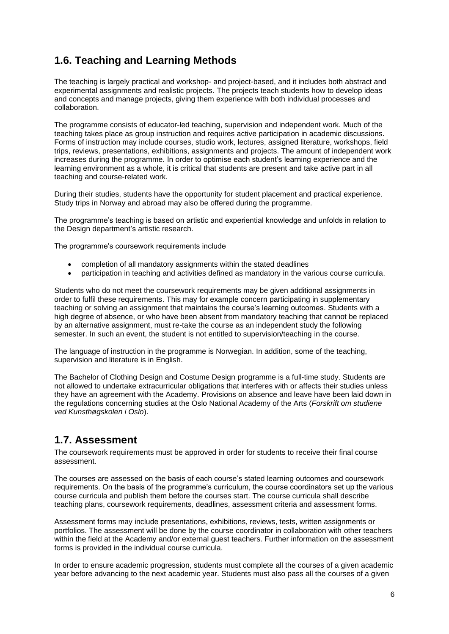### <span id="page-5-0"></span>**1.6. Teaching and Learning Methods**

The teaching is largely practical and workshop- and project-based, and it includes both abstract and experimental assignments and realistic projects. The projects teach students how to develop ideas and concepts and manage projects, giving them experience with both individual processes and collaboration.

The programme consists of educator-led teaching, supervision and independent work. Much of the teaching takes place as group instruction and requires active participation in academic discussions. Forms of instruction may include courses, studio work, lectures, assigned literature, workshops, field trips, reviews, presentations, exhibitions, assignments and projects. The amount of independent work increases during the programme. In order to optimise each student's learning experience and the learning environment as a whole, it is critical that students are present and take active part in all teaching and course-related work.

During their studies, students have the opportunity for student placement and practical experience. Study trips in Norway and abroad may also be offered during the programme.

The programme's teaching is based on artistic and experiential knowledge and unfolds in relation to the Design department's artistic research.

The programme's coursework requirements include

- completion of all mandatory assignments within the stated deadlines
- participation in teaching and activities defined as mandatory in the various course curricula.

Students who do not meet the coursework requirements may be given additional assignments in order to fulfil these requirements. This may for example concern participating in supplementary teaching or solving an assignment that maintains the course's learning outcomes. Students with a high degree of absence, or who have been absent from mandatory teaching that cannot be replaced by an alternative assignment, must re-take the course as an independent study the following semester. In such an event, the student is not entitled to supervision/teaching in the course.

The language of instruction in the programme is Norwegian. In addition, some of the teaching, supervision and literature is in English.

The Bachelor of Clothing Design and Costume Design programme is a full-time study. Students are not allowed to undertake extracurricular obligations that interferes with or affects their studies unless they have an agreement with the Academy. Provisions on absence and leave have been laid down in the regulations concerning studies at the Oslo National Academy of the Arts (*Forskrift om studiene ved Kunsthøgskolen i Oslo*).

#### <span id="page-5-1"></span>**1.7. Assessment**

The coursework requirements must be approved in order for students to receive their final course assessment.

The courses are assessed on the basis of each course's stated learning outcomes and coursework requirements. On the basis of the programme's curriculum, the course coordinators set up the various course curricula and publish them before the courses start. The course curricula shall describe teaching plans, coursework requirements, deadlines, assessment criteria and assessment forms.

Assessment forms may include presentations, exhibitions, reviews, tests, written assignments or portfolios. The assessment will be done by the course coordinator in collaboration with other teachers within the field at the Academy and/or external guest teachers. Further information on the assessment forms is provided in the individual course curricula.

In order to ensure academic progression, students must complete all the courses of a given academic year before advancing to the next academic year. Students must also pass all the courses of a given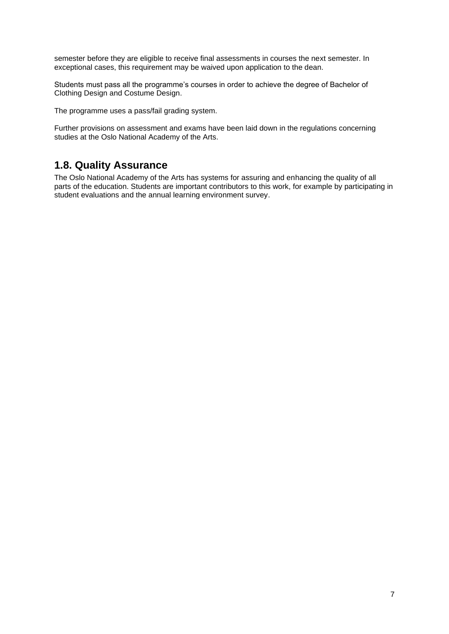semester before they are eligible to receive final assessments in courses the next semester. In exceptional cases, this requirement may be waived upon application to the dean.

Students must pass all the programme's courses in order to achieve the degree of Bachelor of Clothing Design and Costume Design.

The programme uses a pass/fail grading system.

Further provisions on assessment and exams have been laid down in the regulations concerning studies at the Oslo National Academy of the Arts.

#### <span id="page-6-0"></span>**1.8. Quality Assurance**

The Oslo National Academy of the Arts has systems for assuring and enhancing the quality of all parts of the education. Students are important contributors to this work, for example by participating in student evaluations and the annual learning environment survey.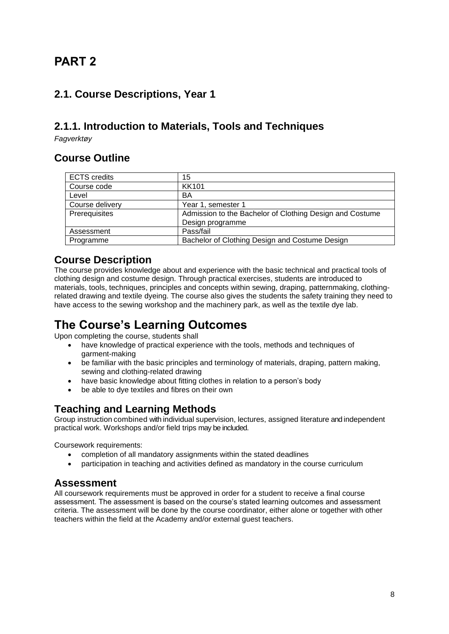# <span id="page-7-0"></span>**PART 2**

### <span id="page-7-1"></span>**2.1. Course Descriptions, Year 1**

### <span id="page-7-2"></span>**2.1.1. Introduction to Materials, Tools and Techniques**

*Fagverktøy*

#### **Course Outline**

| <b>ECTS</b> credits | 15                                                       |
|---------------------|----------------------------------------------------------|
| Course code         | <b>KK101</b>                                             |
| Level               | BA                                                       |
| Course delivery     | Year 1, semester 1                                       |
| Prerequisites       | Admission to the Bachelor of Clothing Design and Costume |
|                     | Design programme                                         |
| Assessment          | Pass/fail                                                |
| Programme           | Bachelor of Clothing Design and Costume Design           |

#### **Course Description**

The course provides knowledge about and experience with the basic technical and practical tools of clothing design and costume design. Through practical exercises, students are introduced to materials, tools, techniques, principles and concepts within sewing, draping, patternmaking, clothingrelated drawing and textile dyeing. The course also gives the students the safety training they need to have access to the sewing workshop and the machinery park, as well as the textile dye lab.

# **The Course's Learning Outcomes**

Upon completing the course, students shall

- have knowledge of practical experience with the tools, methods and techniques of garment-making
- be familiar with the basic principles and terminology of materials, draping, pattern making, sewing and clothing-related drawing
- have basic knowledge about fitting clothes in relation to a person's body
- be able to dye textiles and fibres on their own

#### **Teaching and Learning Methods**

Group instruction combined with individual supervision, lectures, assigned literature and independent practical work. Workshops and/or field trips may be included.

Coursework requirements:

- completion of all mandatory assignments within the stated deadlines
- participation in teaching and activities defined as mandatory in the course curriculum

#### **Assessment**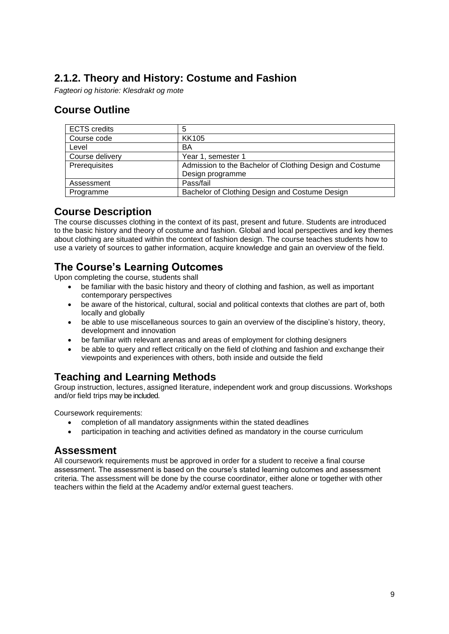## <span id="page-8-0"></span>**2.1.2. Theory and History: Costume and Fashion**

*Fagteori og historie: Klesdrakt og mote*

#### **Course Outline**

| <b>ECTS</b> credits | 5                                                        |
|---------------------|----------------------------------------------------------|
| Course code         | <b>KK105</b>                                             |
| Level               | BA                                                       |
| Course delivery     | Year 1, semester 1                                       |
| Prerequisites       | Admission to the Bachelor of Clothing Design and Costume |
|                     | Design programme                                         |
| Assessment          | Pass/fail                                                |
| Programme           | Bachelor of Clothing Design and Costume Design           |

#### **Course Description**

The course discusses clothing in the context of its past, present and future. Students are introduced to the basic history and theory of costume and fashion. Global and local perspectives and key themes about clothing are situated within the context of fashion design. The course teaches students how to use a variety of sources to gather information, acquire knowledge and gain an overview of the field.

#### **The Course's Learning Outcomes**

Upon completing the course, students shall

- be familiar with the basic history and theory of clothing and fashion, as well as important contemporary perspectives
- be aware of the historical, cultural, social and political contexts that clothes are part of, both locally and globally
- be able to use miscellaneous sources to gain an overview of the discipline's history, theory, development and innovation
- be familiar with relevant arenas and areas of employment for clothing designers
- be able to query and reflect critically on the field of clothing and fashion and exchange their viewpoints and experiences with others, both inside and outside the field

## **Teaching and Learning Methods**

Group instruction, lectures, assigned literature, independent work and group discussions. Workshops and/or field trips may be included.

Coursework requirements:

- completion of all mandatory assignments within the stated deadlines
- participation in teaching and activities defined as mandatory in the course curriculum

#### **Assessment**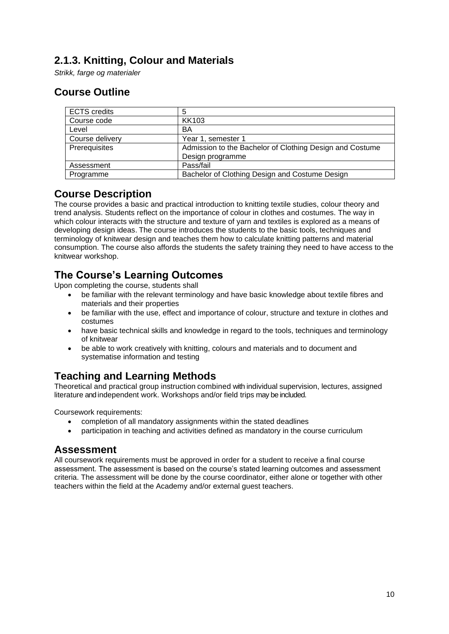#### <span id="page-9-0"></span>**2.1.3. Knitting, Colour and Materials**

*Strikk, farge og materialer*

### **Course Outline**

| <b>ECTS</b> credits | 5                                                        |
|---------------------|----------------------------------------------------------|
| Course code         | KK103                                                    |
| Level               | BA                                                       |
| Course delivery     | Year 1, semester 1                                       |
| Prerequisites       | Admission to the Bachelor of Clothing Design and Costume |
|                     | Design programme                                         |
| Assessment          | Pass/fail                                                |
| Programme           | Bachelor of Clothing Design and Costume Design           |

#### **Course Description**

The course provides a basic and practical introduction to knitting textile studies, colour theory and trend analysis. Students reflect on the importance of colour in clothes and costumes. The way in which colour interacts with the structure and texture of yarn and textiles is explored as a means of developing design ideas. The course introduces the students to the basic tools, techniques and terminology of knitwear design and teaches them how to calculate knitting patterns and material consumption. The course also affords the students the safety training they need to have access to the knitwear workshop.

#### **The Course's Learning Outcomes**

Upon completing the course, students shall

- be familiar with the relevant terminology and have basic knowledge about textile fibres and materials and their properties
- be familiar with the use, effect and importance of colour, structure and texture in clothes and costumes
- have basic technical skills and knowledge in regard to the tools, techniques and terminology of knitwear
- be able to work creatively with knitting, colours and materials and to document and systematise information and testing

## **Teaching and Learning Methods**

Theoretical and practical group instruction combined with individual supervision, lectures, assigned literature and independent work. Workshops and/or field trips may be included.

Coursework requirements:

- completion of all mandatory assignments within the stated deadlines
- participation in teaching and activities defined as mandatory in the course curriculum

#### **Assessment**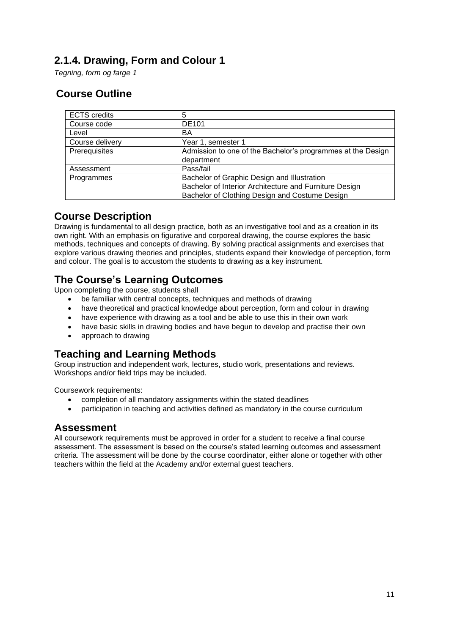### <span id="page-10-0"></span>**2.1.4. Drawing, Form and Colour 1**

*Tegning, form og farge 1*

### **Course Outline**

| <b>ECTS</b> credits | 5                                                           |
|---------------------|-------------------------------------------------------------|
| Course code         | <b>DE101</b>                                                |
| Level               | BA                                                          |
| Course delivery     | Year 1, semester 1                                          |
| Prerequisites       | Admission to one of the Bachelor's programmes at the Design |
|                     | department                                                  |
| Assessment          | Pass/fail                                                   |
| Programmes          | Bachelor of Graphic Design and Illustration                 |
|                     | Bachelor of Interior Architecture and Furniture Design      |
|                     | Bachelor of Clothing Design and Costume Design              |

## **Course Description**

Drawing is fundamental to all design practice, both as an investigative tool and as a creation in its own right. With an emphasis on figurative and corporeal drawing, the course explores the basic methods, techniques and concepts of drawing. By solving practical assignments and exercises that explore various drawing theories and principles, students expand their knowledge of perception, form and colour. The goal is to accustom the students to drawing as a key instrument.

#### **The Course's Learning Outcomes**

Upon completing the course, students shall

- be familiar with central concepts, techniques and methods of drawing
- have theoretical and practical knowledge about perception, form and colour in drawing
- have experience with drawing as a tool and be able to use this in their own work
- have basic skills in drawing bodies and have begun to develop and practise their own
- approach to drawing

#### **Teaching and Learning Methods**

Group instruction and independent work, lectures, studio work, presentations and reviews. Workshops and/or field trips may be included.

Coursework requirements:

- completion of all mandatory assignments within the stated deadlines
- participation in teaching and activities defined as mandatory in the course curriculum

#### **Assessment**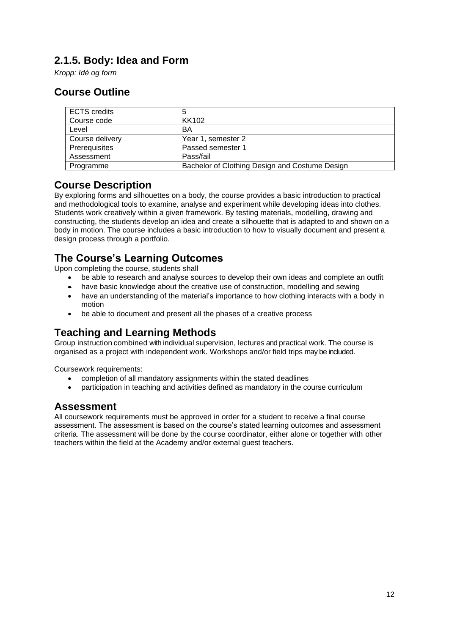## <span id="page-11-0"></span>**2.1.5. Body: Idea and Form**

*Kropp: Idé og form*

#### **Course Outline**

| <b>ECTS</b> credits | 5                                              |
|---------------------|------------------------------------------------|
| Course code         | KK102                                          |
| Level               | BA                                             |
| Course delivery     | Year 1, semester 2                             |
| Prerequisites       | Passed semester 1                              |
| Assessment          | Pass/fail                                      |
| Programme           | Bachelor of Clothing Design and Costume Design |

#### **Course Description**

By exploring forms and silhouettes on a body, the course provides a basic introduction to practical and methodological tools to examine, analyse and experiment while developing ideas into clothes. Students work creatively within a given framework. By testing materials, modelling, drawing and constructing, the students develop an idea and create a silhouette that is adapted to and shown on a body in motion. The course includes a basic introduction to how to visually document and present a design process through a portfolio.

### **The Course's Learning Outcomes**

Upon completing the course, students shall

- be able to research and analyse sources to develop their own ideas and complete an outfit
- have basic knowledge about the creative use of construction, modelling and sewing
- have an understanding of the material's importance to how clothing interacts with a body in motion
- be able to document and present all the phases of a creative process

#### **Teaching and Learning Methods**

Group instruction combined with individual supervision, lectures and practical work. The course is organised as a project with independent work. Workshops and/or field trips may be included.

Coursework requirements:

- completion of all mandatory assignments within the stated deadlines
- participation in teaching and activities defined as mandatory in the course curriculum

#### **Assessment**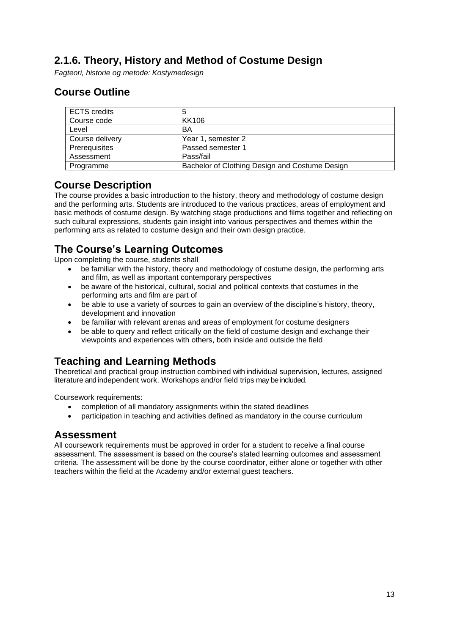## <span id="page-12-0"></span>**2.1.6. Theory, History and Method of Costume Design**

*Fagteori, historie og metode: Kostymedesign*

#### **Course Outline**

| <b>ECTS</b> credits | 5                                              |
|---------------------|------------------------------------------------|
| Course code         | <b>KK106</b>                                   |
| Level               | BA                                             |
| Course delivery     | Year 1, semester 2                             |
| Prerequisites       | Passed semester 1                              |
| Assessment          | Pass/fail                                      |
| Programme           | Bachelor of Clothing Design and Costume Design |

#### **Course Description**

The course provides a basic introduction to the history, theory and methodology of costume design and the performing arts. Students are introduced to the various practices, areas of employment and basic methods of costume design. By watching stage productions and films together and reflecting on such cultural expressions, students gain insight into various perspectives and themes within the performing arts as related to costume design and their own design practice.

#### **The Course's Learning Outcomes**

Upon completing the course, students shall

- be familiar with the history, theory and methodology of costume design, the performing arts and film, as well as important contemporary perspectives
- be aware of the historical, cultural, social and political contexts that costumes in the performing arts and film are part of
- be able to use a variety of sources to gain an overview of the discipline's history, theory, development and innovation
- be familiar with relevant arenas and areas of employment for costume designers
- be able to query and reflect critically on the field of costume design and exchange their viewpoints and experiences with others, both inside and outside the field

#### **Teaching and Learning Methods**

Theoretical and practical group instruction combined with individual supervision, lectures, assigned literature and independent work. Workshops and/or field trips may be included.

Coursework requirements:

- completion of all mandatory assignments within the stated deadlines
- participation in teaching and activities defined as mandatory in the course curriculum

#### **Assessment**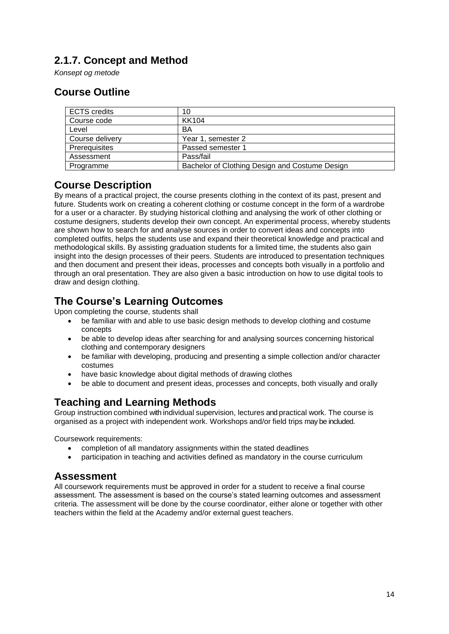## <span id="page-13-0"></span>**2.1.7. Concept and Method**

*Konsept og metode*

#### **Course Outline**

| <b>ECTS</b> credits | 10                                             |
|---------------------|------------------------------------------------|
| Course code         | <b>KK104</b>                                   |
| Level               | BA                                             |
| Course delivery     | Year 1, semester 2                             |
| Prerequisites       | Passed semester 1                              |
| Assessment          | Pass/fail                                      |
| Programme           | Bachelor of Clothing Design and Costume Design |

#### **Course Description**

By means of a practical project, the course presents clothing in the context of its past, present and future. Students work on creating a coherent clothing or costume concept in the form of a wardrobe for a user or a character. By studying historical clothing and analysing the work of other clothing or costume designers, students develop their own concept. An experimental process, whereby students are shown how to search for and analyse sources in order to convert ideas and concepts into completed outfits, helps the students use and expand their theoretical knowledge and practical and methodological skills. By assisting graduation students for a limited time, the students also gain insight into the design processes of their peers. Students are introduced to presentation techniques and then document and present their ideas, processes and concepts both visually in a portfolio and through an oral presentation. They are also given a basic introduction on how to use digital tools to draw and design clothing.

#### **The Course's Learning Outcomes**

Upon completing the course, students shall

- be familiar with and able to use basic design methods to develop clothing and costume concepts
- be able to develop ideas after searching for and analysing sources concerning historical clothing and contemporary designers
- be familiar with developing, producing and presenting a simple collection and/or character costumes
- have basic knowledge about digital methods of drawing clothes
- be able to document and present ideas, processes and concepts, both visually and orally

## **Teaching and Learning Methods**

Group instruction combined with individual supervision, lectures and practical work. The course is organised as a project with independent work. Workshops and/or field trips may be included.

Coursework requirements:

- completion of all mandatory assignments within the stated deadlines
- participation in teaching and activities defined as mandatory in the course curriculum

#### **Assessment**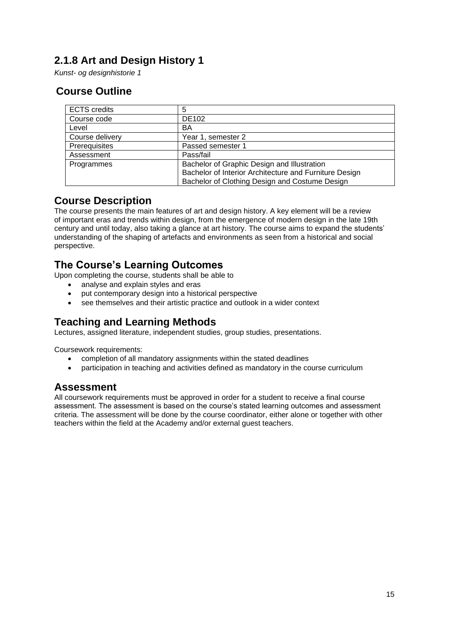## <span id="page-14-0"></span>**2.1.8 Art and Design History 1**

*Kunst- og designhistorie 1*

### **Course Outline**

| <b>ECTS</b> credits | 5                                                      |
|---------------------|--------------------------------------------------------|
| Course code         | <b>DE102</b>                                           |
| Level               | BA                                                     |
| Course delivery     | Year 1, semester 2                                     |
| Prerequisites       | Passed semester 1                                      |
| Assessment          | Pass/fail                                              |
| Programmes          | Bachelor of Graphic Design and Illustration            |
|                     | Bachelor of Interior Architecture and Furniture Design |
|                     | Bachelor of Clothing Design and Costume Design         |

#### **Course Description**

The course presents the main features of art and design history. A key element will be a review of important eras and trends within design, from the emergence of modern design in the late 19th century and until today, also taking a glance at art history. The course aims to expand the students' understanding of the shaping of artefacts and environments as seen from a historical and social perspective.

#### **The Course's Learning Outcomes**

Upon completing the course, students shall be able to

- analyse and explain styles and eras
- put contemporary design into a historical perspective
- see themselves and their artistic practice and outlook in a wider context

#### **Teaching and Learning Methods**

Lectures, assigned literature, independent studies, group studies, presentations.

Coursework requirements:

- completion of all mandatory assignments within the stated deadlines
- participation in teaching and activities defined as mandatory in the course curriculum

#### **Assessment**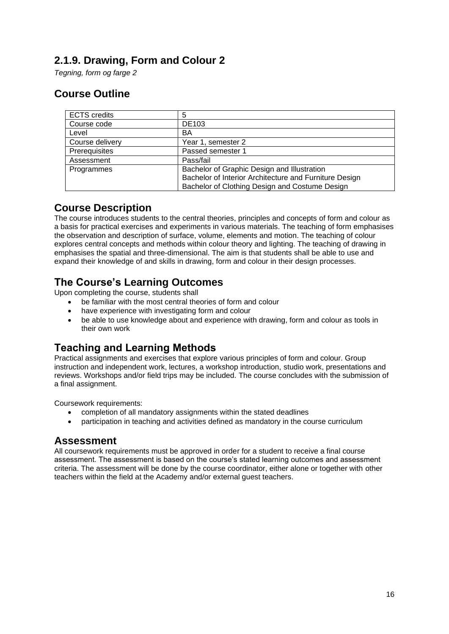#### <span id="page-15-0"></span>**2.1.9. Drawing, Form and Colour 2**

*Tegning, form og farge 2*

### **Course Outline**

| <b>ECTS</b> credits | 5                                                      |
|---------------------|--------------------------------------------------------|
| Course code         | <b>DE103</b>                                           |
| Level               | BA                                                     |
| Course delivery     | Year 1, semester 2                                     |
| Prerequisites       | Passed semester 1                                      |
| Assessment          | Pass/fail                                              |
| Programmes          | Bachelor of Graphic Design and Illustration            |
|                     | Bachelor of Interior Architecture and Furniture Design |
|                     | Bachelor of Clothing Design and Costume Design         |

#### **Course Description**

The course introduces students to the central theories, principles and concepts of form and colour as a basis for practical exercises and experiments in various materials. The teaching of form emphasises the observation and description of surface, volume, elements and motion. The teaching of colour explores central concepts and methods within colour theory and lighting. The teaching of drawing in emphasises the spatial and three-dimensional. The aim is that students shall be able to use and expand their knowledge of and skills in drawing, form and colour in their design processes.

### **The Course's Learning Outcomes**

Upon completing the course, students shall

- be familiar with the most central theories of form and colour
- have experience with investigating form and colour
- be able to use knowledge about and experience with drawing, form and colour as tools in their own work

## **Teaching and Learning Methods**

Practical assignments and exercises that explore various principles of form and colour. Group instruction and independent work, lectures, a workshop introduction, studio work, presentations and reviews. Workshops and/or field trips may be included. The course concludes with the submission of a final assignment.

Coursework requirements:

- completion of all mandatory assignments within the stated deadlines
- participation in teaching and activities defined as mandatory in the course curriculum

#### **Assessment**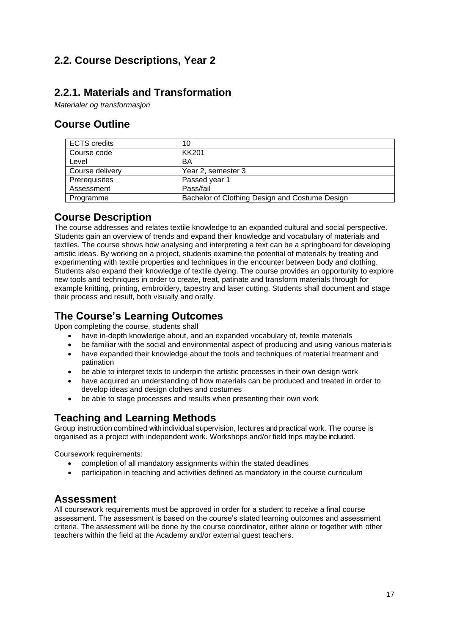## <span id="page-16-0"></span>**2.2. Course Descriptions, Year 2**

### <span id="page-16-1"></span>**2.2.1. Materials and Transformation**

*Materialer og transformasjon*

#### **Course Outline**

| <b>ECTS</b> credits | 10                                             |
|---------------------|------------------------------------------------|
| Course code         | <b>KK201</b>                                   |
| Level               | BA                                             |
| Course delivery     | Year 2, semester 3                             |
| Prerequisites       | Passed year 1                                  |
| Assessment          | Pass/fail                                      |
| Programme           | Bachelor of Clothing Design and Costume Design |

### **Course Description**

The course addresses and relates textile knowledge to an expanded cultural and social perspective. Students gain an overview of trends and expand their knowledge and vocabulary of materials and textiles. The course shows how analysing and interpreting a text can be a springboard for developing artistic ideas. By working on a project, students examine the potential of materials by treating and experimenting with textile properties and techniques in the encounter between body and clothing. Students also expand their knowledge of textile dyeing. The course provides an opportunity to explore new tools and techniques in order to create, treat, patinate and transform materials through for example knitting, printing, embroidery, tapestry and laser cutting. Students shall document and stage their process and result, both visually and orally.

#### **The Course's Learning Outcomes**

Upon completing the course, students shall

- have in-depth knowledge about, and an expanded vocabulary of, textile materials
- be familiar with the social and environmental aspect of producing and using various materials
- have expanded their knowledge about the tools and techniques of material treatment and patination
- be able to interpret texts to underpin the artistic processes in their own design work
- have acquired an understanding of how materials can be produced and treated in order to develop ideas and design clothes and costumes
- be able to stage processes and results when presenting their own work

#### **Teaching and Learning Methods**

Group instruction combined with individual supervision, lectures and practical work. The course is organised as a project with independent work. Workshops and/or field trips may be included.

Coursework requirements:

- completion of all mandatory assignments within the stated deadlines
- participation in teaching and activities defined as mandatory in the course curriculum

#### **Assessment**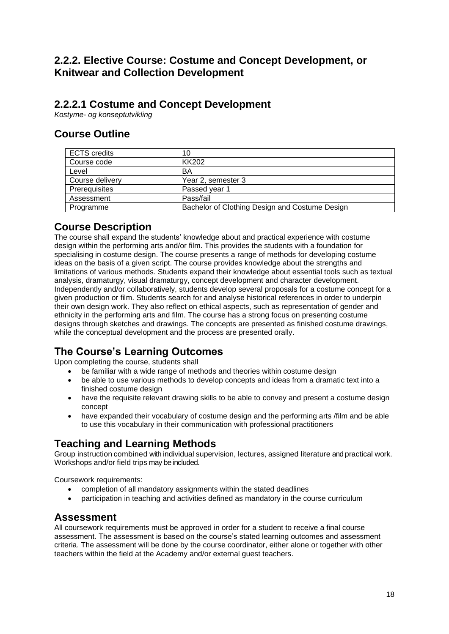#### <span id="page-17-0"></span>**2.2.2. Elective Course: Costume and Concept Development, or Knitwear and Collection Development**

#### **2.2.2.1 Costume and Concept Development**

*Kostyme- og konseptutvikling* 

#### **Course Outline**

| <b>ECTS</b> credits | 10                                             |
|---------------------|------------------------------------------------|
| Course code         | KK202                                          |
| Level               | BA                                             |
| Course delivery     | Year 2, semester 3                             |
| Prerequisites       | Passed year 1                                  |
| Assessment          | Pass/fail                                      |
| Programme           | Bachelor of Clothing Design and Costume Design |

#### **Course Description**

The course shall expand the students' knowledge about and practical experience with costume design within the performing arts and/or film. This provides the students with a foundation for specialising in costume design. The course presents a range of methods for developing costume ideas on the basis of a given script. The course provides knowledge about the strengths and limitations of various methods. Students expand their knowledge about essential tools such as textual analysis, dramaturgy, visual dramaturgy, concept development and character development. Independently and/or collaboratively, students develop several proposals for a costume concept for a given production or film. Students search for and analyse historical references in order to underpin their own design work. They also reflect on ethical aspects, such as representation of gender and ethnicity in the performing arts and film. The course has a strong focus on presenting costume designs through sketches and drawings. The concepts are presented as finished costume drawings, while the conceptual development and the process are presented orally.

## **The Course's Learning Outcomes**

Upon completing the course, students shall

- be familiar with a wide range of methods and theories within costume design
- be able to use various methods to develop concepts and ideas from a dramatic text into a finished costume design
- have the requisite relevant drawing skills to be able to convey and present a costume design concept
- have expanded their vocabulary of costume design and the performing arts /film and be able to use this vocabulary in their communication with professional practitioners

#### **Teaching and Learning Methods**

Group instruction combined with individual supervision, lectures, assigned literature and practical work. Workshops and/or field trips may be included.

Coursework requirements:

- completion of all mandatory assignments within the stated deadlines
- participation in teaching and activities defined as mandatory in the course curriculum

#### **Assessment**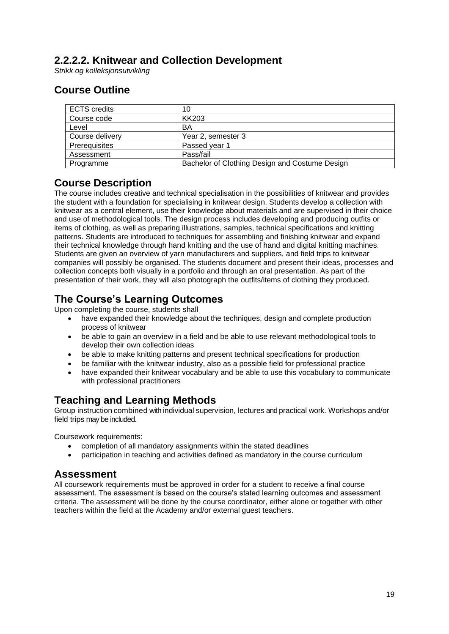### **2.2.2.2. Knitwear and Collection Development**

*Strikk og kolleksjonsutvikling*

### **Course Outline**

| <b>ECTS</b> credits | 10                                             |
|---------------------|------------------------------------------------|
| Course code         | <b>KK203</b>                                   |
| Level               | BA                                             |
| Course delivery     | Year 2, semester 3                             |
| Prerequisites       | Passed year 1                                  |
| Assessment          | Pass/fail                                      |
| Programme           | Bachelor of Clothing Design and Costume Design |

#### **Course Description**

The course includes creative and technical specialisation in the possibilities of knitwear and provides the student with a foundation for specialising in knitwear design. Students develop a collection with knitwear as a central element, use their knowledge about materials and are supervised in their choice and use of methodological tools. The design process includes developing and producing outfits or items of clothing, as well as preparing illustrations, samples, technical specifications and knitting patterns. Students are introduced to techniques for assembling and finishing knitwear and expand their technical knowledge through hand knitting and the use of hand and digital knitting machines. Students are given an overview of yarn manufacturers and suppliers, and field trips to knitwear companies will possibly be organised. The students document and present their ideas, processes and collection concepts both visually in a portfolio and through an oral presentation. As part of the presentation of their work, they will also photograph the outfits/items of clothing they produced.

## **The Course's Learning Outcomes**

Upon completing the course, students shall

- have expanded their knowledge about the techniques, design and complete production process of knitwear
- be able to gain an overview in a field and be able to use relevant methodological tools to develop their own collection ideas
- be able to make knitting patterns and present technical specifications for production
- be familiar with the knitwear industry, also as a possible field for professional practice
- have expanded their knitwear vocabulary and be able to use this vocabulary to communicate with professional practitioners

#### **Teaching and Learning Methods**

Group instruction combined with individual supervision, lectures and practical work. Workshops and/or field trips may be included.

Coursework requirements:

- completion of all mandatory assignments within the stated deadlines
- participation in teaching and activities defined as mandatory in the course curriculum

#### **Assessment**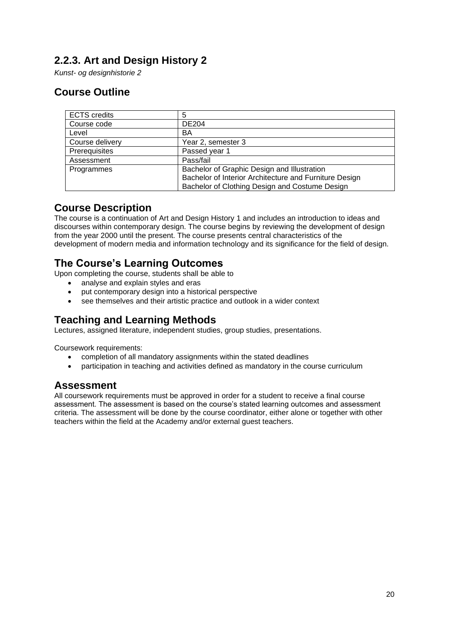## <span id="page-19-0"></span>**2.2.3. Art and Design History 2**

*Kunst- og designhistorie 2*

## **Course Outline**

| <b>ECTS</b> credits | 5                                                      |
|---------------------|--------------------------------------------------------|
| Course code         | <b>DE204</b>                                           |
| Level               | BA                                                     |
| Course delivery     | Year 2, semester 3                                     |
| Prerequisites       | Passed year 1                                          |
| Assessment          | Pass/fail                                              |
| Programmes          | Bachelor of Graphic Design and Illustration            |
|                     | Bachelor of Interior Architecture and Furniture Design |
|                     | Bachelor of Clothing Design and Costume Design         |

#### **Course Description**

The course is a continuation of Art and Design History 1 and includes an introduction to ideas and discourses within contemporary design. The course begins by reviewing the development of design from the year 2000 until the present. The course presents central characteristics of the development of modern media and information technology and its significance for the field of design.

#### **The Course's Learning Outcomes**

Upon completing the course, students shall be able to

- analyse and explain styles and eras
- put contemporary design into a historical perspective
- see themselves and their artistic practice and outlook in a wider context

#### **Teaching and Learning Methods**

Lectures, assigned literature, independent studies, group studies, presentations.

Coursework requirements:

- completion of all mandatory assignments within the stated deadlines
- participation in teaching and activities defined as mandatory in the course curriculum

#### **Assessment**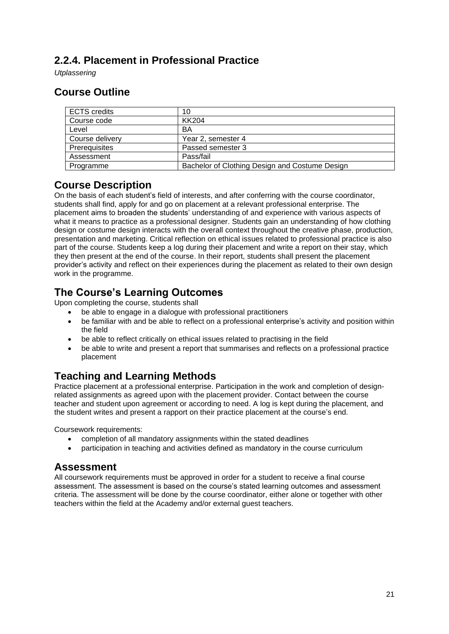### <span id="page-20-0"></span>**2.2.4. Placement in Professional Practice**

*Utplassering*

### **Course Outline**

| <b>ECTS</b> credits | 10                                             |
|---------------------|------------------------------------------------|
| Course code         | KK204                                          |
| Level               | BA                                             |
| Course delivery     | Year 2, semester 4                             |
| Prerequisites       | Passed semester 3                              |
| Assessment          | Pass/fail                                      |
| Programme           | Bachelor of Clothing Design and Costume Design |

#### **Course Description**

On the basis of each student's field of interests, and after conferring with the course coordinator, students shall find, apply for and go on placement at a relevant professional enterprise. The placement aims to broaden the students' understanding of and experience with various aspects of what it means to practice as a professional designer. Students gain an understanding of how clothing design or costume design interacts with the overall context throughout the creative phase, production, presentation and marketing. Critical reflection on ethical issues related to professional practice is also part of the course. Students keep a log during their placement and write a report on their stay, which they then present at the end of the course. In their report, students shall present the placement provider's activity and reflect on their experiences during the placement as related to their own design work in the programme.

#### **The Course's Learning Outcomes**

Upon completing the course, students shall

- be able to engage in a dialogue with professional practitioners
- be familiar with and be able to reflect on a professional enterprise's activity and position within the field
- be able to reflect critically on ethical issues related to practising in the field
- be able to write and present a report that summarises and reflects on a professional practice placement

#### **Teaching and Learning Methods**

Practice placement at a professional enterprise. Participation in the work and completion of designrelated assignments as agreed upon with the placement provider. Contact between the course teacher and student upon agreement or according to need. A log is kept during the placement, and the student writes and present a rapport on their practice placement at the course's end.

Coursework requirements:

- completion of all mandatory assignments within the stated deadlines
- participation in teaching and activities defined as mandatory in the course curriculum

#### **Assessment**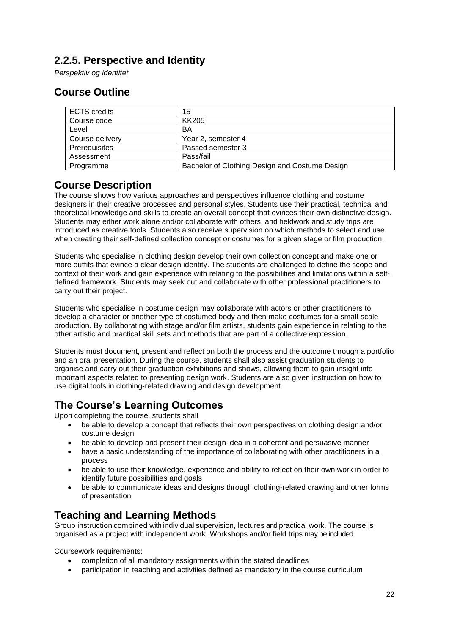### <span id="page-21-0"></span>**2.2.5. Perspective and Identity**

*Perspektiv og identitet*

### **Course Outline**

| <b>ECTS</b> credits | 15                                             |
|---------------------|------------------------------------------------|
| Course code         | KK205                                          |
| Level               | BA                                             |
| Course delivery     | Year 2, semester 4                             |
| Prerequisites       | Passed semester 3                              |
| Assessment          | Pass/fail                                      |
| Programme           | Bachelor of Clothing Design and Costume Design |

#### **Course Description**

The course shows how various approaches and perspectives influence clothing and costume designers in their creative processes and personal styles. Students use their practical, technical and theoretical knowledge and skills to create an overall concept that evinces their own distinctive design. Students may either work alone and/or collaborate with others, and fieldwork and study trips are introduced as creative tools. Students also receive supervision on which methods to select and use when creating their self-defined collection concept or costumes for a given stage or film production.

Students who specialise in clothing design develop their own collection concept and make one or more outfits that evince a clear design identity. The students are challenged to define the scope and context of their work and gain experience with relating to the possibilities and limitations within a selfdefined framework. Students may seek out and collaborate with other professional practitioners to carry out their project.

Students who specialise in costume design may collaborate with actors or other practitioners to develop a character or another type of costumed body and then make costumes for a small-scale production. By collaborating with stage and/or film artists, students gain experience in relating to the other artistic and practical skill sets and methods that are part of a collective expression.

Students must document, present and reflect on both the process and the outcome through a portfolio and an oral presentation. During the course, students shall also assist graduation students to organise and carry out their graduation exhibitions and shows, allowing them to gain insight into important aspects related to presenting design work. Students are also given instruction on how to use digital tools in clothing-related drawing and design development.

#### **The Course's Learning Outcomes**

Upon completing the course, students shall

- be able to develop a concept that reflects their own perspectives on clothing design and/or costume design
- be able to develop and present their design idea in a coherent and persuasive manner
- have a basic understanding of the importance of collaborating with other practitioners in a process
- be able to use their knowledge, experience and ability to reflect on their own work in order to identify future possibilities and goals
- be able to communicate ideas and designs through clothing-related drawing and other forms of presentation

#### **Teaching and Learning Methods**

Group instruction combined with individual supervision, lectures and practical work. The course is organised as a project with independent work. Workshops and/or field trips may be included.

Coursework requirements:

- completion of all mandatory assignments within the stated deadlines
- participation in teaching and activities defined as mandatory in the course curriculum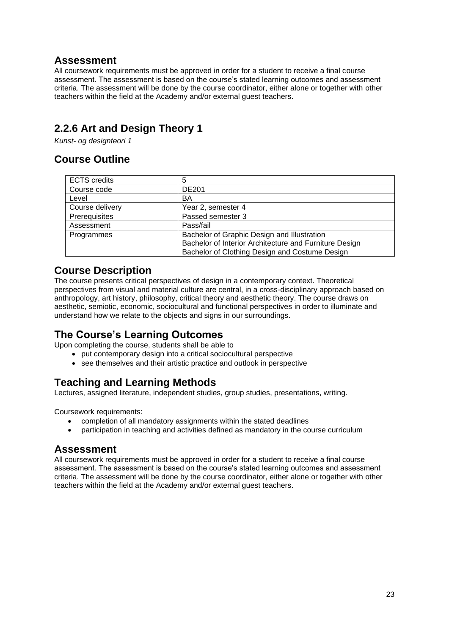#### **Assessment**

All coursework requirements must be approved in order for a student to receive a final course assessment. The assessment is based on the course's stated learning outcomes and assessment criteria. The assessment will be done by the course coordinator, either alone or together with other teachers within the field at the Academy and/or external guest teachers.

## <span id="page-22-0"></span>**2.2.6 Art and Design Theory 1**

*Kunst- og designteori 1*

#### **Course Outline**

| <b>ECTS</b> credits | 5                                                      |
|---------------------|--------------------------------------------------------|
| Course code         | <b>DE201</b>                                           |
| Level               | BA                                                     |
| Course delivery     | Year 2, semester 4                                     |
| Prerequisites       | Passed semester 3                                      |
| Assessment          | Pass/fail                                              |
| Programmes          | Bachelor of Graphic Design and Illustration            |
|                     | Bachelor of Interior Architecture and Furniture Design |
|                     | Bachelor of Clothing Design and Costume Design         |

#### **Course Description**

The course presents critical perspectives of design in a contemporary context. Theoretical perspectives from visual and material culture are central, in a cross-disciplinary approach based on anthropology, art history, philosophy, critical theory and aesthetic theory. The course draws on aesthetic, semiotic, economic, sociocultural and functional perspectives in order to illuminate and understand how we relate to the objects and signs in our surroundings.

## **The Course's Learning Outcomes**

Upon completing the course, students shall be able to

- put contemporary design into a critical sociocultural perspective
- see themselves and their artistic practice and outlook in perspective

#### **Teaching and Learning Methods**

Lectures, assigned literature, independent studies, group studies, presentations, writing.

Coursework requirements:

- completion of all mandatory assignments within the stated deadlines
- participation in teaching and activities defined as mandatory in the course curriculum

#### **Assessment**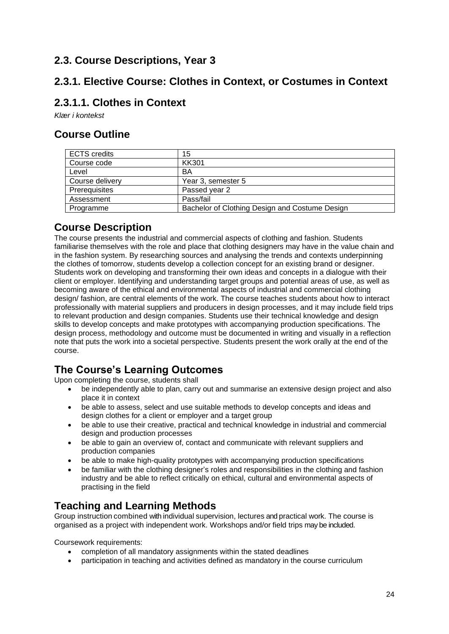### <span id="page-23-0"></span>**2.3. Course Descriptions, Year 3**

#### <span id="page-23-1"></span>**2.3.1. Elective Course: Clothes in Context, or Costumes in Context**

#### **2.3.1.1. Clothes in Context**

*Klær i kontekst*

### **Course Outline**

| <b>ECTS</b> credits | 15                                             |
|---------------------|------------------------------------------------|
| Course code         | KK301                                          |
| Level               | BA                                             |
| Course delivery     | Year 3, semester 5                             |
| Prerequisites       | Passed year 2                                  |
| Assessment          | Pass/fail                                      |
| Programme           | Bachelor of Clothing Design and Costume Design |

#### **Course Description**

The course presents the industrial and commercial aspects of clothing and fashion. Students familiarise themselves with the role and place that clothing designers may have in the value chain and in the fashion system. By researching sources and analysing the trends and contexts underpinning the clothes of tomorrow, students develop a collection concept for an existing brand or designer. Students work on developing and transforming their own ideas and concepts in a dialogue with their client or employer. Identifying and understanding target groups and potential areas of use, as well as becoming aware of the ethical and environmental aspects of industrial and commercial clothing design/ fashion, are central elements of the work. The course teaches students about how to interact professionally with material suppliers and producers in design processes, and it may include field trips to relevant production and design companies. Students use their technical knowledge and design skills to develop concepts and make prototypes with accompanying production specifications. The design process, methodology and outcome must be documented in writing and visually in a reflection note that puts the work into a societal perspective. Students present the work orally at the end of the course.

## **The Course's Learning Outcomes**

Upon completing the course, students shall

- be independently able to plan, carry out and summarise an extensive design project and also place it in context
- be able to assess, select and use suitable methods to develop concepts and ideas and design clothes for a client or employer and a target group
- be able to use their creative, practical and technical knowledge in industrial and commercial design and production processes
- be able to gain an overview of, contact and communicate with relevant suppliers and production companies
- be able to make high-quality prototypes with accompanying production specifications
- be familiar with the clothing designer's roles and responsibilities in the clothing and fashion industry and be able to reflect critically on ethical, cultural and environmental aspects of practising in the field

#### **Teaching and Learning Methods**

Group instruction combined with individual supervision, lectures and practical work. The course is organised as a project with independent work. Workshops and/or field trips may be included.

Coursework requirements:

- completion of all mandatory assignments within the stated deadlines
- participation in teaching and activities defined as mandatory in the course curriculum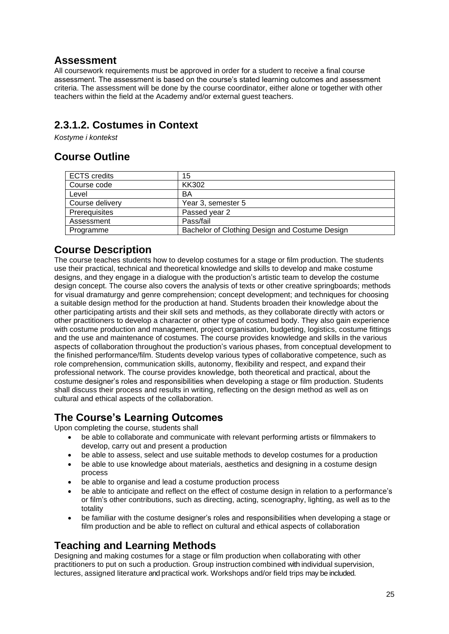#### **Assessment**

All coursework requirements must be approved in order for a student to receive a final course assessment. The assessment is based on the course's stated learning outcomes and assessment criteria. The assessment will be done by the course coordinator, either alone or together with other teachers within the field at the Academy and/or external guest teachers.

## **2.3.1.2. Costumes in Context**

*Kostyme i kontekst*

#### **Course Outline**

| <b>ECTS</b> credits | 15                                             |
|---------------------|------------------------------------------------|
| Course code         | KK302                                          |
| Level               | BA                                             |
| Course delivery     | Year 3, semester 5                             |
| Prerequisites       | Passed year 2                                  |
| Assessment          | Pass/fail                                      |
| Programme           | Bachelor of Clothing Design and Costume Design |

#### **Course Description**

The course teaches students how to develop costumes for a stage or film production. The students use their practical, technical and theoretical knowledge and skills to develop and make costume designs, and they engage in a dialogue with the production's artistic team to develop the costume design concept. The course also covers the analysis of texts or other creative springboards; methods for visual dramaturgy and genre comprehension; concept development; and techniques for choosing a suitable design method for the production at hand. Students broaden their knowledge about the other participating artists and their skill sets and methods, as they collaborate directly with actors or other practitioners to develop a character or other type of costumed body. They also gain experience with costume production and management, project organisation, budgeting, logistics, costume fittings and the use and maintenance of costumes. The course provides knowledge and skills in the various aspects of collaboration throughout the production's various phases, from conceptual development to the finished performance/film. Students develop various types of collaborative competence, such as role comprehension, communication skills, autonomy, flexibility and respect, and expand their professional network. The course provides knowledge, both theoretical and practical, about the costume designer's roles and responsibilities when developing a stage or film production. Students shall discuss their process and results in writing, reflecting on the design method as well as on cultural and ethical aspects of the collaboration.

## **The Course's Learning Outcomes**

Upon completing the course, students shall

- be able to collaborate and communicate with relevant performing artists or filmmakers to develop, carry out and present a production
- be able to assess, select and use suitable methods to develop costumes for a production
- be able to use knowledge about materials, aesthetics and designing in a costume design process
- be able to organise and lead a costume production process
- be able to anticipate and reflect on the effect of costume design in relation to a performance's or film's other contributions, such as directing, acting, scenography, lighting, as well as to the totality
- be familiar with the costume designer's roles and responsibilities when developing a stage or film production and be able to reflect on cultural and ethical aspects of collaboration

#### **Teaching and Learning Methods**

Designing and making costumes for a stage or film production when collaborating with other practitioners to put on such a production. Group instruction combined with individual supervision, lectures, assigned literature and practical work. Workshops and/or field trips may be included.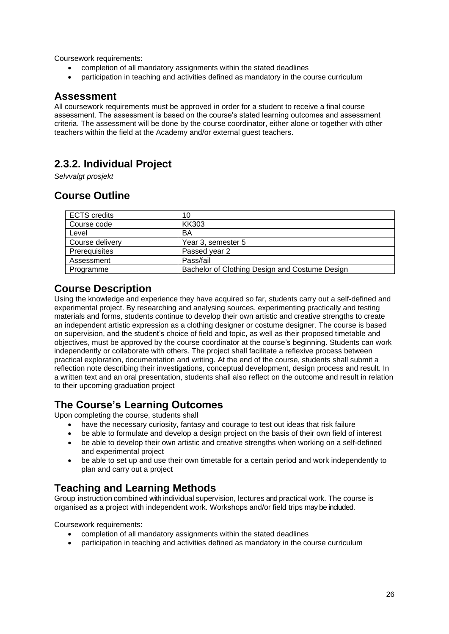Coursework requirements:

- completion of all mandatory assignments within the stated deadlines
- participation in teaching and activities defined as mandatory in the course curriculum

#### **Assessment**

All coursework requirements must be approved in order for a student to receive a final course assessment. The assessment is based on the course's stated learning outcomes and assessment criteria. The assessment will be done by the course coordinator, either alone or together with other teachers within the field at the Academy and/or external guest teachers.

## <span id="page-25-0"></span>**2.3.2. Individual Project**

*Selvvalgt prosjekt*

### **Course Outline**

| <b>ECTS</b> credits | 10                                             |
|---------------------|------------------------------------------------|
| Course code         | <b>KK303</b>                                   |
| Level               | BA                                             |
| Course delivery     | Year 3, semester 5                             |
| Prerequisites       | Passed year 2                                  |
| Assessment          | Pass/fail                                      |
| Programme           | Bachelor of Clothing Design and Costume Design |

#### **Course Description**

Using the knowledge and experience they have acquired so far, students carry out a self-defined and experimental project. By researching and analysing sources, experimenting practically and testing materials and forms, students continue to develop their own artistic and creative strengths to create an independent artistic expression as a clothing designer or costume designer. The course is based on supervision, and the student's choice of field and topic, as well as their proposed timetable and objectives, must be approved by the course coordinator at the course's beginning. Students can work independently or collaborate with others. The project shall facilitate a reflexive process between practical exploration, documentation and writing. At the end of the course, students shall submit a reflection note describing their investigations, conceptual development, design process and result. In a written text and an oral presentation, students shall also reflect on the outcome and result in relation to their upcoming graduation project

#### **The Course's Learning Outcomes**

Upon completing the course, students shall

- have the necessary curiosity, fantasy and courage to test out ideas that risk failure
- be able to formulate and develop a design project on the basis of their own field of interest
- be able to develop their own artistic and creative strengths when working on a self-defined and experimental project
- be able to set up and use their own timetable for a certain period and work independently to plan and carry out a project

#### **Teaching and Learning Methods**

Group instruction combined with individual supervision, lectures and practical work. The course is organised as a project with independent work. Workshops and/or field trips may be included.

Coursework requirements:

- completion of all mandatory assignments within the stated deadlines
- participation in teaching and activities defined as mandatory in the course curriculum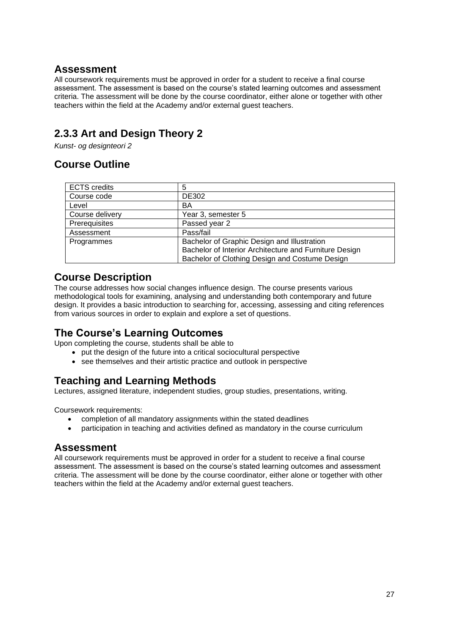#### **Assessment**

All coursework requirements must be approved in order for a student to receive a final course assessment. The assessment is based on the course's stated learning outcomes and assessment criteria. The assessment will be done by the course coordinator, either alone or together with other teachers within the field at the Academy and/or external guest teachers.

## <span id="page-26-0"></span>**2.3.3 Art and Design Theory 2**

*Kunst- og designteori 2*

## **Course Outline**

| <b>ECTS</b> credits | 5                                                      |
|---------------------|--------------------------------------------------------|
| Course code         | DE302                                                  |
| Level               | BA                                                     |
| Course delivery     | Year 3, semester 5                                     |
| Prerequisites       | Passed year 2                                          |
| Assessment          | Pass/fail                                              |
| Programmes          | Bachelor of Graphic Design and Illustration            |
|                     | Bachelor of Interior Architecture and Furniture Design |
|                     | Bachelor of Clothing Design and Costume Design         |

#### **Course Description**

The course addresses how social changes influence design. The course presents various methodological tools for examining, analysing and understanding both contemporary and future design. It provides a basic introduction to searching for, accessing, assessing and citing references from various sources in order to explain and explore a set of questions.

#### **The Course's Learning Outcomes**

Upon completing the course, students shall be able to

- put the design of the future into a critical sociocultural perspective
- see themselves and their artistic practice and outlook in perspective

#### **Teaching and Learning Methods**

Lectures, assigned literature, independent studies, group studies, presentations, writing.

Coursework requirements:

- completion of all mandatory assignments within the stated deadlines
- participation in teaching and activities defined as mandatory in the course curriculum

#### **Assessment**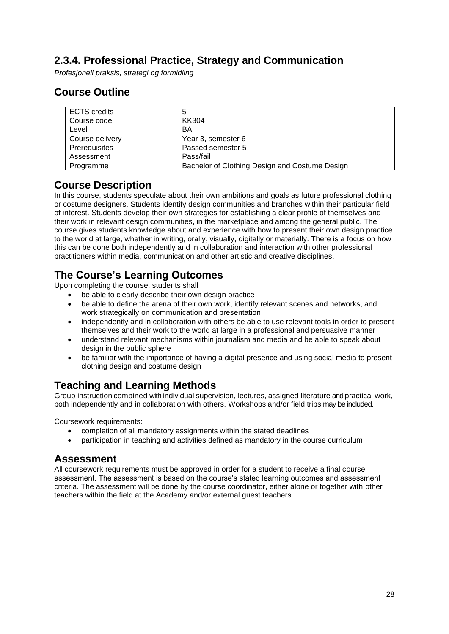### <span id="page-27-0"></span>**2.3.4. Professional Practice, Strategy and Communication**

*Profesjonell praksis, strategi og formidling*

### **Course Outline**

| <b>ECTS</b> credits |                                                |
|---------------------|------------------------------------------------|
| Course code         | KK304                                          |
| Level               | BA                                             |
| Course delivery     | Year 3, semester 6                             |
| Prerequisites       | Passed semester 5                              |
| Assessment          | Pass/fail                                      |
| Programme           | Bachelor of Clothing Design and Costume Design |

#### **Course Description**

In this course, students speculate about their own ambitions and goals as future professional clothing or costume designers. Students identify design communities and branches within their particular field of interest. Students develop their own strategies for establishing a clear profile of themselves and their work in relevant design communities, in the marketplace and among the general public. The course gives students knowledge about and experience with how to present their own design practice to the world at large, whether in writing, orally, visually, digitally or materially. There is a focus on how this can be done both independently and in collaboration and interaction with other professional practitioners within media, communication and other artistic and creative disciplines.

## **The Course's Learning Outcomes**

Upon completing the course, students shall

- be able to clearly describe their own design practice
- be able to define the arena of their own work, identify relevant scenes and networks, and work strategically on communication and presentation
- independently and in collaboration with others be able to use relevant tools in order to present themselves and their work to the world at large in a professional and persuasive manner
- understand relevant mechanisms within journalism and media and be able to speak about design in the public sphere
- be familiar with the importance of having a digital presence and using social media to present clothing design and costume design

#### **Teaching and Learning Methods**

Group instruction combined with individual supervision, lectures, assigned literature and practical work, both independently and in collaboration with others. Workshops and/or field trips may be included.

Coursework requirements:

- completion of all mandatory assignments within the stated deadlines
- participation in teaching and activities defined as mandatory in the course curriculum

#### **Assessment**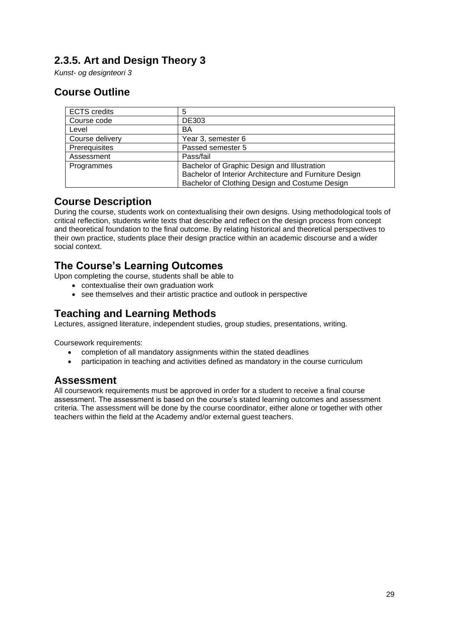## <span id="page-28-0"></span>**2.3.5. Art and Design Theory 3**

*Kunst- og designteori 3*

### **Course Outline**

| <b>ECTS</b> credits | 5                                                      |
|---------------------|--------------------------------------------------------|
| Course code         | <b>DE303</b>                                           |
| Level               | BA                                                     |
| Course delivery     | Year 3, semester 6                                     |
| Prerequisites       | Passed semester 5                                      |
| Assessment          | Pass/fail                                              |
| Programmes          | Bachelor of Graphic Design and Illustration            |
|                     | Bachelor of Interior Architecture and Furniture Design |
|                     | Bachelor of Clothing Design and Costume Design         |

#### **Course Description**

During the course, students work on contextualising their own designs. Using methodological tools of critical reflection, students write texts that describe and reflect on the design process from concept and theoretical foundation to the final outcome. By relating historical and theoretical perspectives to their own practice, students place their design practice within an academic discourse and a wider social context.

#### **The Course's Learning Outcomes**

Upon completing the course, students shall be able to

- contextualise their own graduation work
- see themselves and their artistic practice and outlook in perspective

### **Teaching and Learning Methods**

Lectures, assigned literature, independent studies, group studies, presentations, writing.

Coursework requirements:

- completion of all mandatory assignments within the stated deadlines
- participation in teaching and activities defined as mandatory in the course curriculum

#### **Assessment**